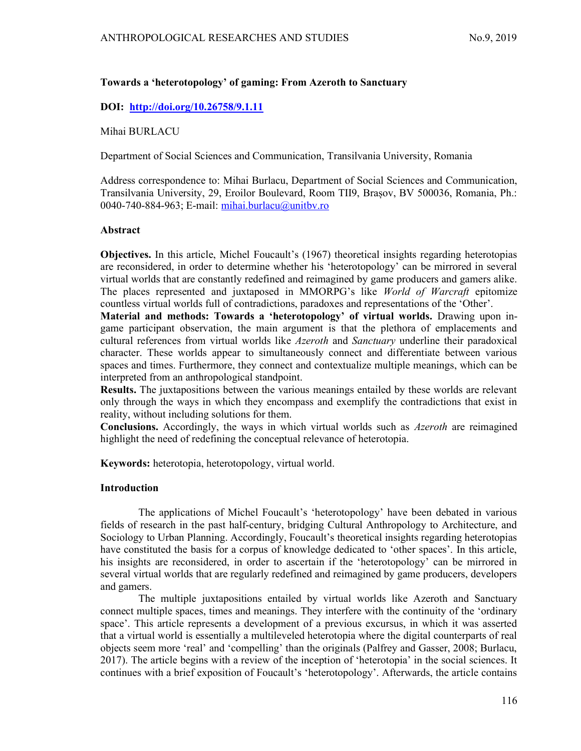## Towards a 'heterotopology' of gaming: From Azeroth to Sanctuary

# DOI: http://doi.org/10.26758/9.1.11

Mihai BURLACU

Department of Social Sciences and Communication, Transilvania University, Romania

Address correspondence to: Mihai Burlacu, Department of Social Sciences and Communication, Transilvania University, 29, Eroilor Boulevard, Room TII9, Brașov, BV 500036, Romania, Ph.: 0040-740-884-963; E-mail: mihai.burlacu@unitbv.ro

### Abstract

Objectives. In this article, Michel Foucault's (1967) theoretical insights regarding heterotopias are reconsidered, in order to determine whether his 'heterotopology' can be mirrored in several virtual worlds that are constantly redefined and reimagined by game producers and gamers alike. The places represented and juxtaposed in MMORPG's like World of Warcraft epitomize countless virtual worlds full of contradictions, paradoxes and representations of the 'Other'.

Material and methods: Towards a 'heterotopology' of virtual worlds. Drawing upon ingame participant observation, the main argument is that the plethora of emplacements and cultural references from virtual worlds like Azeroth and Sanctuary underline their paradoxical character. These worlds appear to simultaneously connect and differentiate between various spaces and times. Furthermore, they connect and contextualize multiple meanings, which can be interpreted from an anthropological standpoint.

Results. The juxtapositions between the various meanings entailed by these worlds are relevant only through the ways in which they encompass and exemplify the contradictions that exist in reality, without including solutions for them.

Conclusions. Accordingly, the ways in which virtual worlds such as Azeroth are reimagined highlight the need of redefining the conceptual relevance of heterotopia.

Keywords: heterotopia, heterotopology, virtual world.

## Introduction

The applications of Michel Foucault's 'heterotopology' have been debated in various fields of research in the past half-century, bridging Cultural Anthropology to Architecture, and Sociology to Urban Planning. Accordingly, Foucault's theoretical insights regarding heterotopias have constituted the basis for a corpus of knowledge dedicated to 'other spaces'. In this article, his insights are reconsidered, in order to ascertain if the 'heterotopology' can be mirrored in several virtual worlds that are regularly redefined and reimagined by game producers, developers and gamers.

The multiple juxtapositions entailed by virtual worlds like Azeroth and Sanctuary connect multiple spaces, times and meanings. They interfere with the continuity of the 'ordinary space'. This article represents a development of a previous excursus, in which it was asserted that a virtual world is essentially a multileveled heterotopia where the digital counterparts of real objects seem more 'real' and 'compelling' than the originals (Palfrey and Gasser, 2008; Burlacu, 2017). The article begins with a review of the inception of 'heterotopia' in the social sciences. It continues with a brief exposition of Foucault's 'heterotopology'. Afterwards, the article contains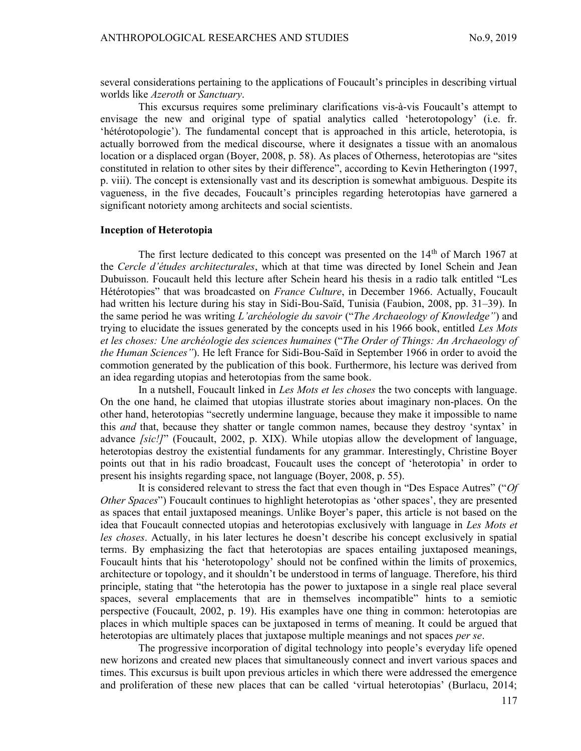several considerations pertaining to the applications of Foucault's principles in describing virtual worlds like Azeroth or Sanctuary.

This excursus requires some preliminary clarifications vis-à-vis Foucault's attempt to envisage the new and original type of spatial analytics called 'heterotopology' (i.e. fr. 'hétérotopologie'). The fundamental concept that is approached in this article, heterotopia, is actually borrowed from the medical discourse, where it designates a tissue with an anomalous location or a displaced organ (Boyer, 2008, p. 58). As places of Otherness, heterotopias are "sites constituted in relation to other sites by their difference", according to Kevin Hetherington (1997, p. viii). The concept is extensionally vast and its description is somewhat ambiguous. Despite its vagueness, in the five decades, Foucault's principles regarding heterotopias have garnered a significant notoriety among architects and social scientists.

#### Inception of Heterotopia

The first lecture dedicated to this concept was presented on the  $14<sup>th</sup>$  of March 1967 at the Cercle d'études architecturales, which at that time was directed by Ionel Schein and Jean Dubuisson. Foucault held this lecture after Schein heard his thesis in a radio talk entitled "Les Hétérotopies" that was broadcasted on *France Culture*, in December 1966. Actually, Foucault had written his lecture during his stay in Sidi-Bou-Saïd, Tunisia (Faubion, 2008, pp. 31–39). In the same period he was writing L'archéologie du savoir ("The Archaeology of Knowledge") and trying to elucidate the issues generated by the concepts used in his 1966 book, entitled Les Mots et les choses: Une archéologie des sciences humaines ("The Order of Things: An Archaeology of the Human Sciences"). He left France for Sidi-Bou-Saïd in September 1966 in order to avoid the commotion generated by the publication of this book. Furthermore, his lecture was derived from an idea regarding utopias and heterotopias from the same book.

In a nutshell, Foucault linked in Les Mots et les choses the two concepts with language. On the one hand, he claimed that utopias illustrate stories about imaginary non-places. On the other hand, heterotopias "secretly undermine language, because they make it impossible to name this and that, because they shatter or tangle common names, because they destroy 'syntax' in advance *[sic]]*" (Foucault, 2002, p. XIX). While utopias allow the development of language, heterotopias destroy the existential fundaments for any grammar. Interestingly, Christine Boyer points out that in his radio broadcast, Foucault uses the concept of 'heterotopia' in order to present his insights regarding space, not language (Boyer, 2008, p. 55).

It is considered relevant to stress the fact that even though in "Des Espace Autres" ("Of Other Spaces") Foucault continues to highlight heterotopias as 'other spaces', they are presented as spaces that entail juxtaposed meanings. Unlike Boyer's paper, this article is not based on the idea that Foucault connected utopias and heterotopias exclusively with language in Les Mots et les choses. Actually, in his later lectures he doesn't describe his concept exclusively in spatial terms. By emphasizing the fact that heterotopias are spaces entailing juxtaposed meanings, Foucault hints that his 'heterotopology' should not be confined within the limits of proxemics, architecture or topology, and it shouldn't be understood in terms of language. Therefore, his third principle, stating that "the heterotopia has the power to juxtapose in a single real place several spaces, several emplacements that are in themselves incompatible" hints to a semiotic perspective (Foucault, 2002, p. 19). His examples have one thing in common: heterotopias are places in which multiple spaces can be juxtaposed in terms of meaning. It could be argued that heterotopias are ultimately places that juxtapose multiple meanings and not spaces *per se*.

The progressive incorporation of digital technology into people's everyday life opened new horizons and created new places that simultaneously connect and invert various spaces and times. This excursus is built upon previous articles in which there were addressed the emergence and proliferation of these new places that can be called 'virtual heterotopias' (Burlacu, 2014;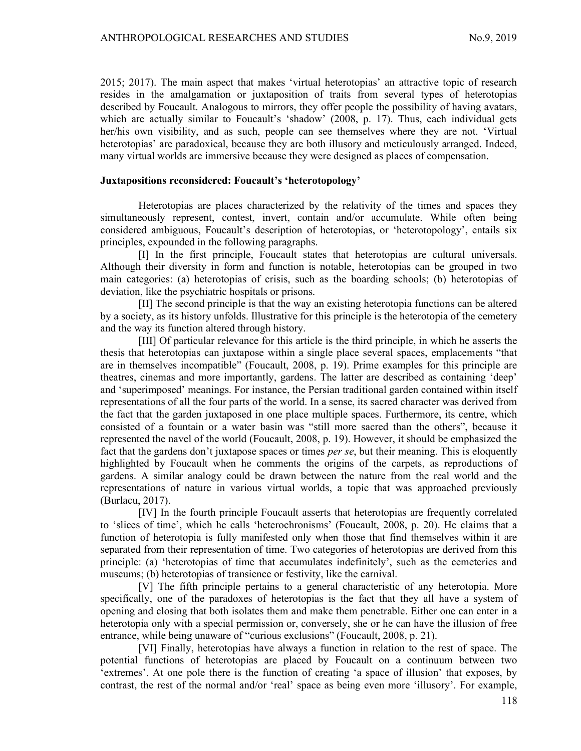2015; 2017). The main aspect that makes 'virtual heterotopias' an attractive topic of research resides in the amalgamation or juxtaposition of traits from several types of heterotopias described by Foucault. Analogous to mirrors, they offer people the possibility of having avatars, which are actually similar to Foucault's 'shadow' (2008, p. 17). Thus, each individual gets her/his own visibility, and as such, people can see themselves where they are not. 'Virtual heterotopias' are paradoxical, because they are both illusory and meticulously arranged. Indeed, many virtual worlds are immersive because they were designed as places of compensation.

### Juxtapositions reconsidered: Foucault's 'heterotopology'

Heterotopias are places characterized by the relativity of the times and spaces they simultaneously represent, contest, invert, contain and/or accumulate. While often being considered ambiguous, Foucault's description of heterotopias, or 'heterotopology', entails six principles, expounded in the following paragraphs.

[I] In the first principle, Foucault states that heterotopias are cultural universals. Although their diversity in form and function is notable, heterotopias can be grouped in two main categories: (a) heterotopias of crisis, such as the boarding schools; (b) heterotopias of deviation, like the psychiatric hospitals or prisons.

[II] The second principle is that the way an existing heterotopia functions can be altered by a society, as its history unfolds. Illustrative for this principle is the heterotopia of the cemetery and the way its function altered through history.

[III] Of particular relevance for this article is the third principle, in which he asserts the thesis that heterotopias can juxtapose within a single place several spaces, emplacements "that are in themselves incompatible" (Foucault, 2008, p. 19). Prime examples for this principle are theatres, cinemas and more importantly, gardens. The latter are described as containing 'deep' and 'superimposed' meanings. For instance, the Persian traditional garden contained within itself representations of all the four parts of the world. In a sense, its sacred character was derived from the fact that the garden juxtaposed in one place multiple spaces. Furthermore, its centre, which consisted of a fountain or a water basin was "still more sacred than the others", because it represented the navel of the world (Foucault, 2008, p. 19). However, it should be emphasized the fact that the gardens don't juxtapose spaces or times *per se*, but their meaning. This is eloquently highlighted by Foucault when he comments the origins of the carpets, as reproductions of gardens. A similar analogy could be drawn between the nature from the real world and the representations of nature in various virtual worlds, a topic that was approached previously (Burlacu, 2017).

[IV] In the fourth principle Foucault asserts that heterotopias are frequently correlated to 'slices of time', which he calls 'heterochronisms' (Foucault, 2008, p. 20). He claims that a function of heterotopia is fully manifested only when those that find themselves within it are separated from their representation of time. Two categories of heterotopias are derived from this principle: (a) 'heterotopias of time that accumulates indefinitely', such as the cemeteries and museums; (b) heterotopias of transience or festivity, like the carnival.

[V] The fifth principle pertains to a general characteristic of any heterotopia. More specifically, one of the paradoxes of heterotopias is the fact that they all have a system of opening and closing that both isolates them and make them penetrable. Either one can enter in a heterotopia only with a special permission or, conversely, she or he can have the illusion of free entrance, while being unaware of "curious exclusions" (Foucault, 2008, p. 21).

[VI] Finally, heterotopias have always a function in relation to the rest of space. The potential functions of heterotopias are placed by Foucault on a continuum between two 'extremes'. At one pole there is the function of creating 'a space of illusion' that exposes, by contrast, the rest of the normal and/or 'real' space as being even more 'illusory'. For example,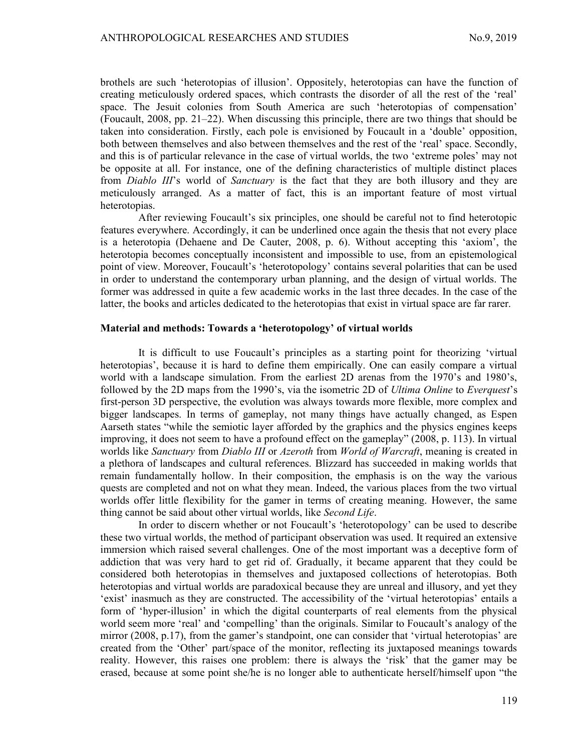brothels are such 'heterotopias of illusion'. Oppositely, heterotopias can have the function of creating meticulously ordered spaces, which contrasts the disorder of all the rest of the 'real' space. The Jesuit colonies from South America are such 'heterotopias of compensation' (Foucault, 2008, pp. 21–22). When discussing this principle, there are two things that should be taken into consideration. Firstly, each pole is envisioned by Foucault in a 'double' opposition, both between themselves and also between themselves and the rest of the 'real' space. Secondly, and this is of particular relevance in the case of virtual worlds, the two 'extreme poles' may not be opposite at all. For instance, one of the defining characteristics of multiple distinct places from *Diablo III*'s world of *Sanctuary* is the fact that they are both illusory and they are meticulously arranged. As a matter of fact, this is an important feature of most virtual heterotopias.

After reviewing Foucault's six principles, one should be careful not to find heterotopic features everywhere. Accordingly, it can be underlined once again the thesis that not every place is a heterotopia (Dehaene and De Cauter, 2008, p. 6). Without accepting this 'axiom', the heterotopia becomes conceptually inconsistent and impossible to use, from an epistemological point of view. Moreover, Foucault's 'heterotopology' contains several polarities that can be used in order to understand the contemporary urban planning, and the design of virtual worlds. The former was addressed in quite a few academic works in the last three decades. In the case of the latter, the books and articles dedicated to the heterotopias that exist in virtual space are far rarer.

#### Material and methods: Towards a 'heterotopology' of virtual worlds

It is difficult to use Foucault's principles as a starting point for theorizing 'virtual heterotopias', because it is hard to define them empirically. One can easily compare a virtual world with a landscape simulation. From the earliest 2D arenas from the 1970's and 1980's, followed by the 2D maps from the 1990's, via the isometric 2D of Ultima Online to Everguest's first-person 3D perspective, the evolution was always towards more flexible, more complex and bigger landscapes. In terms of gameplay, not many things have actually changed, as Espen Aarseth states "while the semiotic layer afforded by the graphics and the physics engines keeps improving, it does not seem to have a profound effect on the gameplay" (2008, p. 113). In virtual worlds like Sanctuary from Diablo III or Azeroth from World of Warcraft, meaning is created in a plethora of landscapes and cultural references. Blizzard has succeeded in making worlds that remain fundamentally hollow. In their composition, the emphasis is on the way the various quests are completed and not on what they mean. Indeed, the various places from the two virtual worlds offer little flexibility for the gamer in terms of creating meaning. However, the same thing cannot be said about other virtual worlds, like Second Life.

In order to discern whether or not Foucault's 'heterotopology' can be used to describe these two virtual worlds, the method of participant observation was used. It required an extensive immersion which raised several challenges. One of the most important was a deceptive form of addiction that was very hard to get rid of. Gradually, it became apparent that they could be considered both heterotopias in themselves and juxtaposed collections of heterotopias. Both heterotopias and virtual worlds are paradoxical because they are unreal and illusory, and yet they 'exist' inasmuch as they are constructed. The accessibility of the 'virtual heterotopias' entails a form of 'hyper-illusion' in which the digital counterparts of real elements from the physical world seem more 'real' and 'compelling' than the originals. Similar to Foucault's analogy of the mirror (2008, p.17), from the gamer's standpoint, one can consider that 'virtual heterotopias' are created from the 'Other' part/space of the monitor, reflecting its juxtaposed meanings towards reality. However, this raises one problem: there is always the 'risk' that the gamer may be erased, because at some point she/he is no longer able to authenticate herself/himself upon "the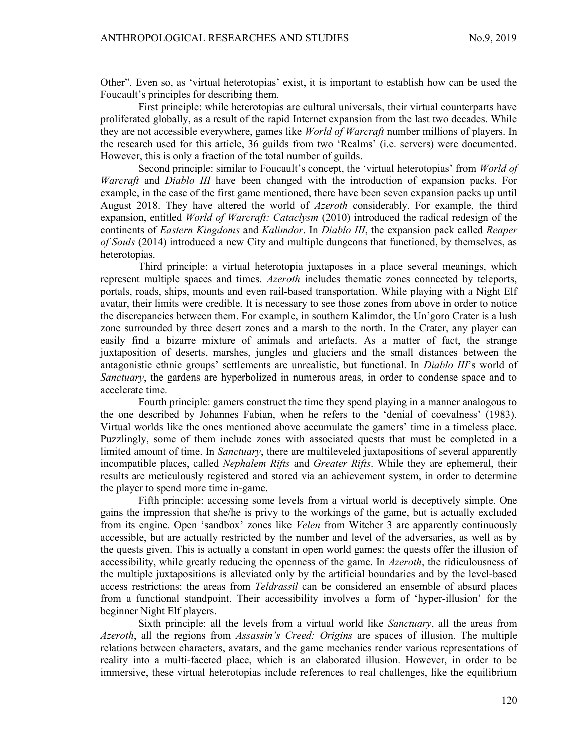Other". Even so, as 'virtual heterotopias' exist, it is important to establish how can be used the Foucault's principles for describing them.

First principle: while heterotopias are cultural universals, their virtual counterparts have proliferated globally, as a result of the rapid Internet expansion from the last two decades. While they are not accessible everywhere, games like *World of Warcraft* number millions of players. In the research used for this article, 36 guilds from two 'Realms' (i.e. servers) were documented. However, this is only a fraction of the total number of guilds.

Second principle: similar to Foucault's concept, the 'virtual heterotopias' from *World of* Warcraft and Diablo III have been changed with the introduction of expansion packs. For example, in the case of the first game mentioned, there have been seven expansion packs up until August 2018. They have altered the world of *Azeroth* considerably. For example, the third expansion, entitled *World of Warcraft: Cataclysm* (2010) introduced the radical redesign of the continents of Eastern Kingdoms and Kalimdor. In Diablo III, the expansion pack called Reaper of Souls (2014) introduced a new City and multiple dungeons that functioned, by themselves, as heterotopias.

Third principle: a virtual heterotopia juxtaposes in a place several meanings, which represent multiple spaces and times. Azeroth includes thematic zones connected by teleports, portals, roads, ships, mounts and even rail-based transportation. While playing with a Night Elf avatar, their limits were credible. It is necessary to see those zones from above in order to notice the discrepancies between them. For example, in southern Kalimdor, the Un'goro Crater is a lush zone surrounded by three desert zones and a marsh to the north. In the Crater, any player can easily find a bizarre mixture of animals and artefacts. As a matter of fact, the strange juxtaposition of deserts, marshes, jungles and glaciers and the small distances between the antagonistic ethnic groups' settlements are unrealistic, but functional. In *Diablo III*'s world of Sanctuary, the gardens are hyperbolized in numerous areas, in order to condense space and to accelerate time.

Fourth principle: gamers construct the time they spend playing in a manner analogous to the one described by Johannes Fabian, when he refers to the 'denial of coevalness' (1983). Virtual worlds like the ones mentioned above accumulate the gamers' time in a timeless place. Puzzlingly, some of them include zones with associated quests that must be completed in a limited amount of time. In *Sanctuary*, there are multileveled juxtapositions of several apparently incompatible places, called *Nephalem Rifts* and *Greater Rifts*. While they are ephemeral, their results are meticulously registered and stored via an achievement system, in order to determine the player to spend more time in-game.

Fifth principle: accessing some levels from a virtual world is deceptively simple. One gains the impression that she/he is privy to the workings of the game, but is actually excluded from its engine. Open 'sandbox' zones like Velen from Witcher 3 are apparently continuously accessible, but are actually restricted by the number and level of the adversaries, as well as by the quests given. This is actually a constant in open world games: the quests offer the illusion of accessibility, while greatly reducing the openness of the game. In *Azeroth*, the ridiculousness of the multiple juxtapositions is alleviated only by the artificial boundaries and by the level-based access restrictions: the areas from Teldrassil can be considered an ensemble of absurd places from a functional standpoint. Their accessibility involves a form of 'hyper-illusion' for the beginner Night Elf players.

Sixth principle: all the levels from a virtual world like Sanctuary, all the areas from Azeroth, all the regions from Assassin's Creed: Origins are spaces of illusion. The multiple relations between characters, avatars, and the game mechanics render various representations of reality into a multi-faceted place, which is an elaborated illusion. However, in order to be immersive, these virtual heterotopias include references to real challenges, like the equilibrium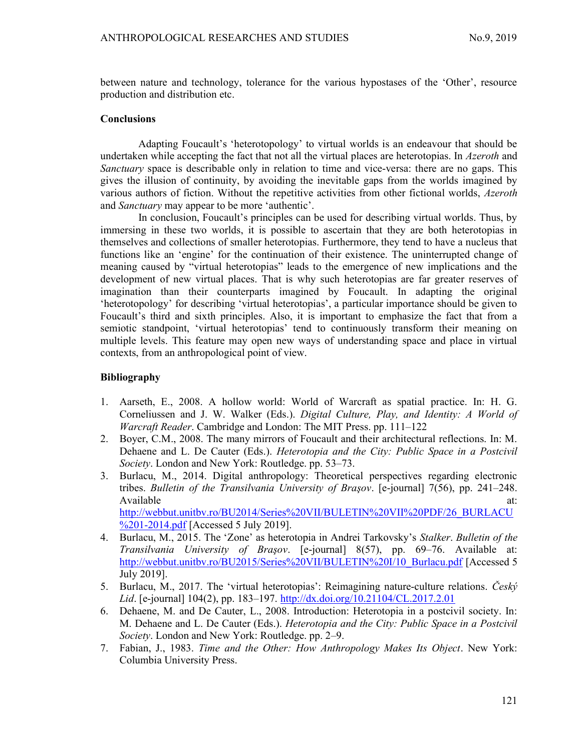between nature and technology, tolerance for the various hypostases of the 'Other', resource production and distribution etc.

### **Conclusions**

Adapting Foucault's 'heterotopology' to virtual worlds is an endeavour that should be undertaken while accepting the fact that not all the virtual places are heterotopias. In Azeroth and Sanctuary space is describable only in relation to time and vice-versa: there are no gaps. This gives the illusion of continuity, by avoiding the inevitable gaps from the worlds imagined by various authors of fiction. Without the repetitive activities from other fictional worlds, *Azeroth* and Sanctuary may appear to be more 'authentic'.

In conclusion, Foucault's principles can be used for describing virtual worlds. Thus, by immersing in these two worlds, it is possible to ascertain that they are both heterotopias in themselves and collections of smaller heterotopias. Furthermore, they tend to have a nucleus that functions like an 'engine' for the continuation of their existence. The uninterrupted change of meaning caused by "virtual heterotopias" leads to the emergence of new implications and the development of new virtual places. That is why such heterotopias are far greater reserves of imagination than their counterparts imagined by Foucault. In adapting the original 'heterotopology' for describing 'virtual heterotopias', a particular importance should be given to Foucault's third and sixth principles. Also, it is important to emphasize the fact that from a semiotic standpoint, 'virtual heterotopias' tend to continuously transform their meaning on multiple levels. This feature may open new ways of understanding space and place in virtual contexts, from an anthropological point of view.

## Bibliography

- 1. Aarseth, E., 2008. A hollow world: World of Warcraft as spatial practice. In: H. G. Corneliussen and J. W. Walker (Eds.). Digital Culture, Play, and Identity: A World of Warcraft Reader. Cambridge and London: The MIT Press. pp. 111–122
- 2. Boyer, C.M., 2008. The many mirrors of Foucault and their architectural reflections. In: M. Dehaene and L. De Cauter (Eds.). *Heterotopia and the City: Public Space in a Postcivil* Society. London and New York: Routledge. pp. 53–73.
- 3. Burlacu, M., 2014. Digital anthropology: Theoretical perspectives regarding electronic tribes. Bulletin of the Transilvania University of Braşov. [e-journal] 7(56), pp. 241–248. Available at:  $\overline{a}$  at: http://webbut.unitbv.ro/BU2014/Series%20VII/BULETIN%20VII%20PDF/26\_BURLACU

%201-2014.pdf [Accessed 5 July 2019]. 4. Burlacu, M., 2015. The 'Zone' as heterotopia in Andrei Tarkovsky's Stalker. Bulletin of the

- Transilvania University of Braşov. [e-journal] 8(57), pp. 69–76. Available at: http://webbut.unitbv.ro/BU2015/Series%20VII/BULETIN%20I/10\_Burlacu.pdf [Accessed 5 July 2019].
- 5. Burlacu, M., 2017. The 'virtual heterotopias': Reimagining nature-culture relations. Ceský Lid. [e-journal] 104(2), pp. 183–197. http://dx.doi.org/10.21104/CL.2017.2.01
- 6. Dehaene, M. and De Cauter, L., 2008. Introduction: Heterotopia in a postcivil society. In: M. Dehaene and L. De Cauter (Eds.). Heterotopia and the City: Public Space in a Postcivil Society. London and New York: Routledge. pp. 2–9.
- 7. Fabian, J., 1983. Time and the Other: How Anthropology Makes Its Object. New York: Columbia University Press.